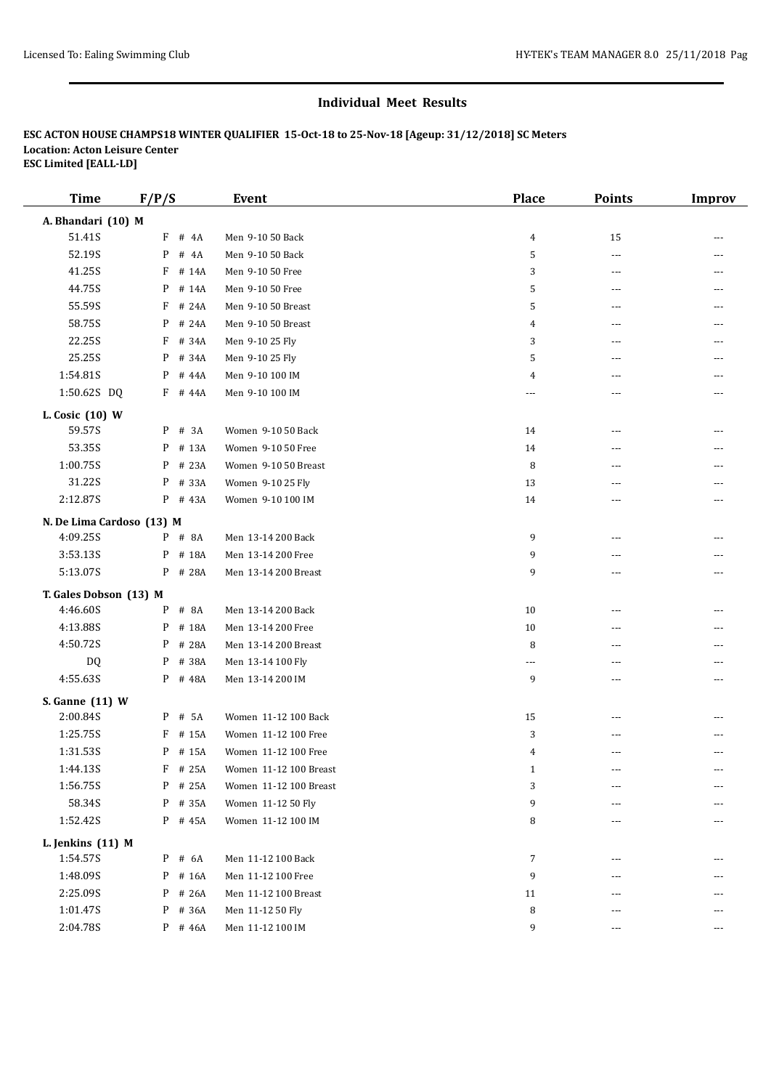### **Individual Meet Results**

# **ESC ACTON HOUSE CHAMPS18 WINTER QUALIFIER 15-Oct-18 to 25-Nov-18 [Ageup: 31/12/2018] SC Meters Location: Acton Leisure Center ESC Limited [EALL-LD]**

| <b>Time</b>               | F/P/S      | <b>Event</b>           | <b>Place</b>             | <b>Points</b> | Improv |
|---------------------------|------------|------------------------|--------------------------|---------------|--------|
| A. Bhandari (10) M        |            |                        |                          |               |        |
| 51.41S                    | F<br># 4A  | Men 9-10 50 Back       | 4                        | 15            |        |
| 52.19S                    | P<br># 4A  | Men 9-10 50 Back       | 5                        | ---           |        |
| 41.25S                    | F<br># 14A | Men 9-10 50 Free       | 3                        | ---           |        |
| 44.75S                    | # 14A<br>P | Men 9-10 50 Free       | 5                        | ---           |        |
| 55.59S                    | F<br># 24A | Men 9-10 50 Breast     | 5                        | ---           |        |
| 58.75S                    | # 24A<br>P | Men 9-10 50 Breast     | 4                        | ---           |        |
| 22.25S                    | # 34A<br>F | Men 9-10 25 Fly        | 3                        | ---           |        |
| 25.25S                    | # 34A<br>P | Men 9-10 25 Fly        | 5                        | ---           |        |
| 1:54.81S                  | P<br># 44A | Men 9-10 100 IM        | 4                        | ---           | ---    |
| 1:50.62S DQ               | F # 44A    | Men 9-10 100 IM        | ---                      | ---           | ---    |
| L. Cosic (10) W           |            |                        |                          |               |        |
| 59.57S                    | P<br># 3A  | Women 9-10 50 Back     | 14                       | ---           |        |
| 53.35S                    | # 13A<br>P | Women 9-10 50 Free     | 14                       | ---           |        |
| 1:00.75S                  | # 23A<br>P | Women 9-10 50 Breast   | 8                        | ---           |        |
| 31.22S                    | # 33A<br>P | Women 9-10 25 Fly      | 13                       | ---           |        |
| 2:12.87S                  | P # 43A    | Women 9-10 100 IM      | 14                       | ---           | ---    |
|                           |            |                        |                          |               |        |
| N. De Lima Cardoso (13) M |            |                        |                          |               |        |
| 4:09.25S                  | P # 8A     | Men 13-14 200 Back     | 9                        | ---           |        |
| 3:53.13S                  | P<br># 18A | Men 13-14 200 Free     | 9                        | ---           |        |
| 5:13.07S                  | P<br># 28A | Men 13-14 200 Breast   | 9                        | ---           | ---    |
| T. Gales Dobson (13) M    |            |                        |                          |               |        |
| 4:46.60S                  | # 8A<br>P  | Men 13-14 200 Back     | 10                       | ---           |        |
| 4:13.88S                  | # 18A<br>P | Men 13-14 200 Free     | 10                       | ---           |        |
| 4:50.72S                  | # 28A<br>P | Men 13-14 200 Breast   | 8                        | ---           |        |
| DQ                        | P<br># 38A | Men 13-14 100 Fly      | $\overline{\phantom{a}}$ | ---           |        |
| 4:55.63S                  | P # 48A    | Men 13-14 200 IM       | 9                        | ---           | ---    |
| S. Ganne (11) W           |            |                        |                          |               |        |
| 2:00.84S                  | # 5A<br>P  | Women 11-12 100 Back   | 15                       |               |        |
| 1:25.75S                  | F<br># 15A | Women 11-12 100 Free   | 3                        | ---           |        |
| 1:31.535                  | P # 15A    | Women 11-12 100 Free   | 4                        | ---           |        |
| 1:44.13S                  | F # 25A    | Women 11-12 100 Breast | 1                        |               |        |
| 1:56.75S                  | # 25A<br>P | Women 11-12 100 Breast | 3                        |               |        |
| 58.34S                    | # 35A<br>P | Women 11-12 50 Fly     | 9                        | ---           |        |
| 1:52.42S                  | P # 45A    | Women 11-12 100 IM     | 8                        | ---           | $---$  |
| L. Jenkins (11) M         |            |                        |                          |               |        |
| 1:54.57S                  | $P$ # 6A   | Men 11-12 100 Back     | 7                        | ---           |        |
| 1:48.09S                  | # 16A<br>P | Men 11-12 100 Free     | 9                        |               |        |
| 2:25.09S                  | # 26A<br>P | Men 11-12 100 Breast   | 11                       |               |        |
| 1:01.47S                  | # 36A<br>P | Men 11-12 50 Fly       | 8                        | ---           |        |
| 2:04.78S                  | $P$ # 46A  | Men 11-12 100 IM       | 9                        | $\cdots$      | $---$  |
|                           |            |                        |                          |               |        |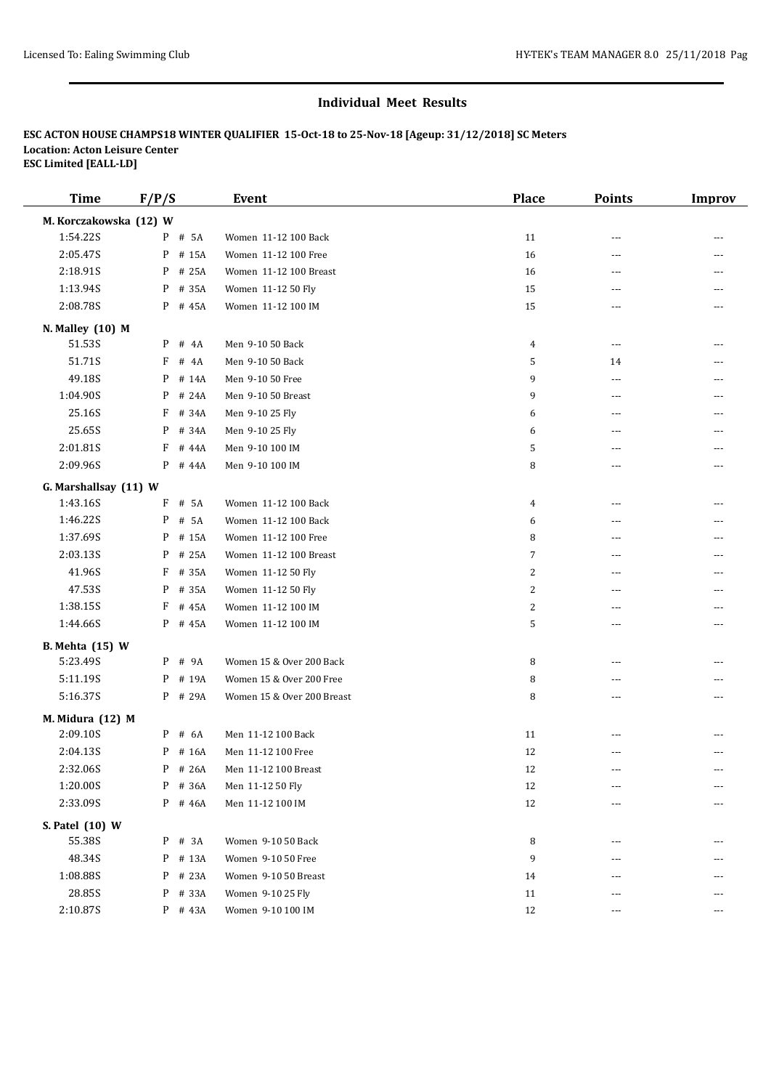### **Individual Meet Results**

# **ESC ACTON HOUSE CHAMPS18 WINTER QUALIFIER 15-Oct-18 to 25-Nov-18 [Ageup: 31/12/2018] SC Meters Location: Acton Leisure Center ESC Limited [EALL-LD]**

| <b>Time</b>            | F/P/S      | <b>Event</b>               | <b>Place</b>   | <b>Points</b>            | <b>Improv</b> |
|------------------------|------------|----------------------------|----------------|--------------------------|---------------|
| M. Korczakowska (12) W |            |                            |                |                          |               |
| 1:54.22S               | P # 5A     | Women 11-12 100 Back       | 11             | $---$                    |               |
| 2:05.47S               | P # 15A    | Women 11-12 100 Free       | 16             | $---$                    |               |
| 2:18.91S               | P # 25A    | Women 11-12 100 Breast     | 16             | ---                      |               |
| 1:13.94S               | P # 35A    | Women 11-12 50 Fly         | 15             | ---                      |               |
| 2:08.785               | P # 45A    | Women 11-12 100 IM         | 15             | ---                      |               |
| N. Malley (10) M       |            |                            |                |                          |               |
| 51.53S                 | $P$ # 4A   | Men 9-10 50 Back           | $\overline{4}$ | $\overline{a}$           | ---           |
| 51.71S                 | F # 4A     | Men 9-10 50 Back           | 5              | 14                       |               |
| 49.18S                 | P # 14A    | Men 9-10 50 Free           | 9              | $\cdots$                 | ---           |
| 1:04.90S               | P # 24A    | Men 9-10 50 Breast         | 9              | $\overline{a}$           |               |
| 25.16S                 | F<br># 34A | Men 9-10 25 Fly            | 6              | ---                      |               |
| 25.65S                 | # 34A<br>P | Men 9-10 25 Fly            | 6              | ---                      |               |
| 2:01.81S               | F # 44A    | Men 9-10 100 IM            | 5              | ---                      |               |
| 2:09.96S               | P # 44A    | Men 9-10 100 IM            | 8              | ---                      |               |
| G. Marshallsay (11) W  |            |                            |                |                          |               |
| 1:43.16S               | F # 5A     | Women 11-12 100 Back       | 4              | $---$                    |               |
| 1:46.22S               | P # 5A     | Women 11-12 100 Back       | 6              | $\overline{a}$           |               |
| 1:37.69S               | P # 15A    | Women 11-12 100 Free       | 8              | ---                      |               |
| 2:03.13S               | P<br># 25A | Women 11-12 100 Breast     | 7              | ---                      |               |
| 41.96S                 | F # 35A    | Women 11-12 50 Fly         | 2              | ---                      |               |
| 47.53S                 | P # 35A    | Women 11-12 50 Fly         | $\overline{2}$ | ---                      |               |
| 1:38.15S               | F # 45A    | Women 11-12 100 IM         | 2              | $\sim$                   | ---           |
| 1:44.66S               | P # 45A    | Women 11-12 100 IM         | 5              | $\overline{\phantom{a}}$ | ---           |
| <b>B.</b> Mehta (15) W |            |                            |                |                          |               |
| 5:23.49S               | $P$ # 9A   | Women 15 & Over 200 Back   | 8              | ---                      |               |
| 5:11.19S               | P # 19A    | Women 15 & Over 200 Free   | 8              | ---                      |               |
| 5:16.37S               | P # 29A    | Women 15 & Over 200 Breast | 8              | $\overline{\phantom{a}}$ |               |
| M. Midura (12) M       |            |                            |                |                          |               |
| 2:09.10S               | P # 6A     | Men 11-12 100 Back         | 11             | ---                      |               |
| 2:04.13S               | P # 16A    | Men 11-12 100 Free         | 12             | $\overline{\phantom{a}}$ |               |
| 2:32.06S               | $P$ # 26A  | Men 11-12 100 Breast       | 12             |                          |               |
| 1:20.00S               | P # 36A    | Men 11-12 50 Fly           | 12             |                          |               |
| 2:33.09S               | P # 46A    | Men 11-12 100 IM           | $12\,$         | ---                      |               |
| S. Patel (10) W        |            |                            |                |                          |               |
| 55.38S                 | P # 3A     | Women 9-10 50 Back         | 8              | $---$                    |               |
| 48.34S                 | P # 13A    | Women 9-10 50 Free         | 9              | ---                      |               |
| 1:08.88S               | P # 23A    | Women 9-10 50 Breast       | 14             | ---                      |               |
| 28.85S                 | P # 33A    | Women 9-10 25 Fly          | 11             | ---                      |               |
| 2:10.87S               | $P$ # 43A  | Women 9-10 100 IM          | 12             | $\overline{\phantom{a}}$ | ---           |